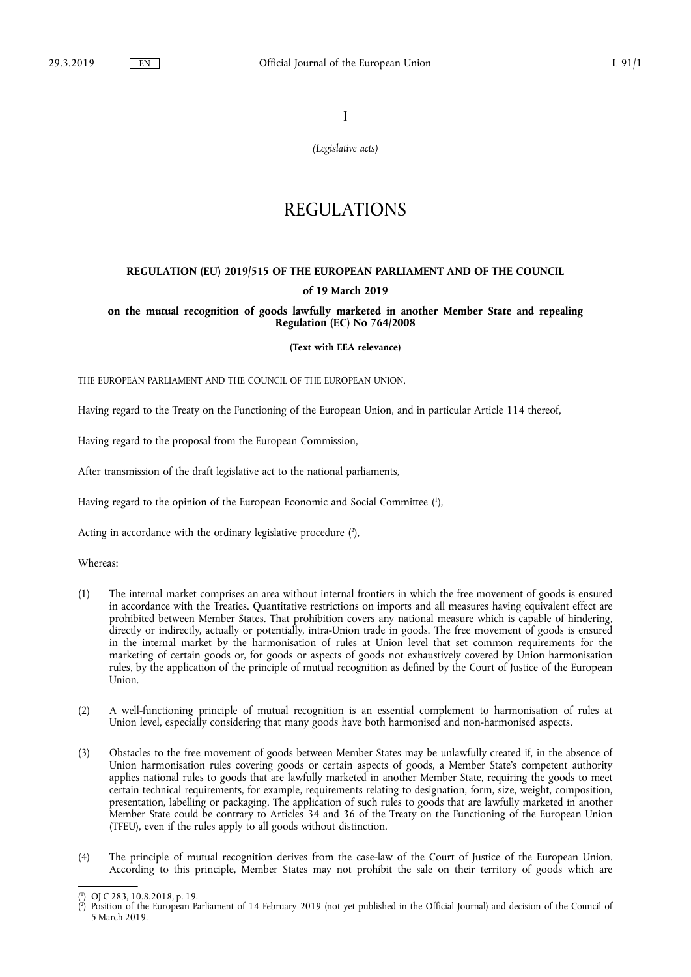I

*(Legislative acts)* 

# REGULATIONS

# **REGULATION (EU) 2019/515 OF THE EUROPEAN PARLIAMENT AND OF THE COUNCIL**

# **of 19 March 2019**

**on the mutual recognition of goods lawfully marketed in another Member State and repealing Regulation (EC) No 764/2008** 

**(Text with EEA relevance)** 

THE EUROPEAN PARLIAMENT AND THE COUNCIL OF THE EUROPEAN UNION,

Having regard to the Treaty on the Functioning of the European Union, and in particular Article 114 thereof,

Having regard to the proposal from the European Commission,

After transmission of the draft legislative act to the national parliaments,

Having regard to the opinion of the European Economic and Social Committee ( 1 ),

Acting in accordance with the ordinary legislative procedure (2),

Whereas:

- (1) The internal market comprises an area without internal frontiers in which the free movement of goods is ensured in accordance with the Treaties. Quantitative restrictions on imports and all measures having equivalent effect are prohibited between Member States. That prohibition covers any national measure which is capable of hindering, directly or indirectly, actually or potentially, intra-Union trade in goods. The free movement of goods is ensured in the internal market by the harmonisation of rules at Union level that set common requirements for the marketing of certain goods or, for goods or aspects of goods not exhaustively covered by Union harmonisation rules, by the application of the principle of mutual recognition as defined by the Court of Justice of the European Union.
- (2) A well-functioning principle of mutual recognition is an essential complement to harmonisation of rules at Union level, especially considering that many goods have both harmonised and non-harmonised aspects.
- (3) Obstacles to the free movement of goods between Member States may be unlawfully created if, in the absence of Union harmonisation rules covering goods or certain aspects of goods, a Member State's competent authority applies national rules to goods that are lawfully marketed in another Member State, requiring the goods to meet certain technical requirements, for example, requirements relating to designation, form, size, weight, composition, presentation, labelling or packaging. The application of such rules to goods that are lawfully marketed in another Member State could be contrary to Articles 34 and 36 of the Treaty on the Functioning of the European Union (TFEU), even if the rules apply to all goods without distinction.
- (4) The principle of mutual recognition derives from the case-law of the Court of Justice of the European Union. According to this principle, Member States may not prohibit the sale on their territory of goods which are

<sup>(</sup> 1 ) OJ C 283, 10.8.2018, p. 19.

<sup>(</sup> 2 ) Position of the European Parliament of 14 February 2019 (not yet published in the Official Journal) and decision of the Council of 5 March 2019.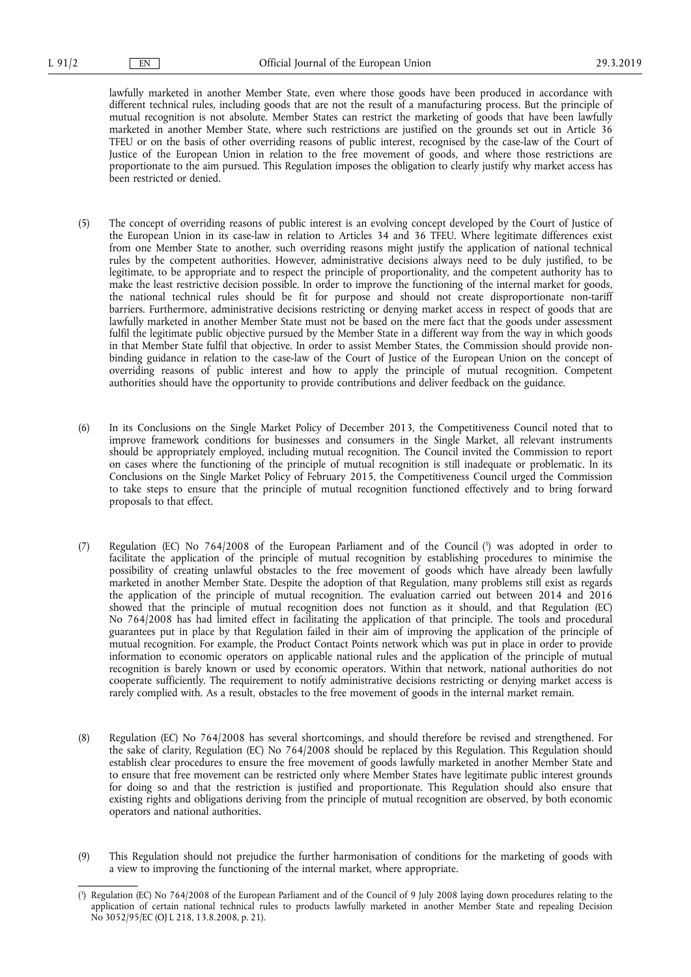lawfully marketed in another Member State, even where those goods have been produced in accordance with different technical rules, including goods that are not the result of a manufacturing process. But the principle of mutual recognition is not absolute. Member States can restrict the marketing of goods that have been lawfully marketed in another Member State, where such restrictions are justified on the grounds set out in Article 36 TFEU or on the basis of other overriding reasons of public interest, recognised by the case-law of the Court of Justice of the European Union in relation to the free movement of goods, and where those restrictions are proportionate to the aim pursued. This Regulation imposes the obligation to clearly justify why market access has been restricted or denied.

- (5) The concept of overriding reasons of public interest is an evolving concept developed by the Court of Justice of the European Union in its case-law in relation to Articles 34 and 36 TFEU. Where legitimate differences exist from one Member State to another, such overriding reasons might justify the application of national technical rules by the competent authorities. However, administrative decisions always need to be duly justified, to be legitimate, to be appropriate and to respect the principle of proportionality, and the competent authority has to make the least restrictive decision possible. In order to improve the functioning of the internal market for goods, the national technical rules should be fit for purpose and should not create disproportionate non-tariff barriers. Furthermore, administrative decisions restricting or denying market access in respect of goods that are lawfully marketed in another Member State must not be based on the mere fact that the goods under assessment fulfil the legitimate public objective pursued by the Member State in a different way from the way in which goods in that Member State fulfil that objective. In order to assist Member States, the Commission should provide nonbinding guidance in relation to the case-law of the Court of Justice of the European Union on the concept of overriding reasons of public interest and how to apply the principle of mutual recognition. Competent authorities should have the opportunity to provide contributions and deliver feedback on the guidance.
- (6) In its Conclusions on the Single Market Policy of December 2013, the Competitiveness Council noted that to improve framework conditions for businesses and consumers in the Single Market, all relevant instruments should be appropriately employed, including mutual recognition. The Council invited the Commission to report on cases where the functioning of the principle of mutual recognition is still inadequate or problematic. In its Conclusions on the Single Market Policy of February 2015, the Competitiveness Council urged the Commission to take steps to ensure that the principle of mutual recognition functioned effectively and to bring forward proposals to that effect.
- (7) Regulation (EC) No 764/2008 of the European Parliament and of the Council (<sup>3</sup>) was adopted in order to facilitate the application of the principle of mutual recognition by establishing procedures to minimise the possibility of creating unlawful obstacles to the free movement of goods which have already been lawfully marketed in another Member State. Despite the adoption of that Regulation, many problems still exist as regards the application of the principle of mutual recognition. The evaluation carried out between 2014 and 2016 showed that the principle of mutual recognition does not function as it should, and that Regulation (EC) No 764/2008 has had limited effect in facilitating the application of that principle. The tools and procedural guarantees put in place by that Regulation failed in their aim of improving the application of the principle of mutual recognition. For example, the Product Contact Points network which was put in place in order to provide information to economic operators on applicable national rules and the application of the principle of mutual recognition is barely known or used by economic operators. Within that network, national authorities do not cooperate sufficiently. The requirement to notify administrative decisions restricting or denying market access is rarely complied with. As a result, obstacles to the free movement of goods in the internal market remain.
- (8) Regulation (EC) No 764/2008 has several shortcomings, and should therefore be revised and strengthened. For the sake of clarity, Regulation (EC) No 764/2008 should be replaced by this Regulation. This Regulation should establish clear procedures to ensure the free movement of goods lawfully marketed in another Member State and to ensure that free movement can be restricted only where Member States have legitimate public interest grounds for doing so and that the restriction is justified and proportionate. This Regulation should also ensure that existing rights and obligations deriving from the principle of mutual recognition are observed, by both economic operators and national authorities.
- (9) This Regulation should not prejudice the further harmonisation of conditions for the marketing of goods with a view to improving the functioning of the internal market, where appropriate.

<sup>(</sup> 3 ) Regulation (EC) No 764/2008 of the European Parliament and of the Council of 9 July 2008 laying down procedures relating to the application of certain national technical rules to products lawfully marketed in another Member State and repealing Decision No 3052/95/EC (OJ L 218, 13.8.2008, p. 21).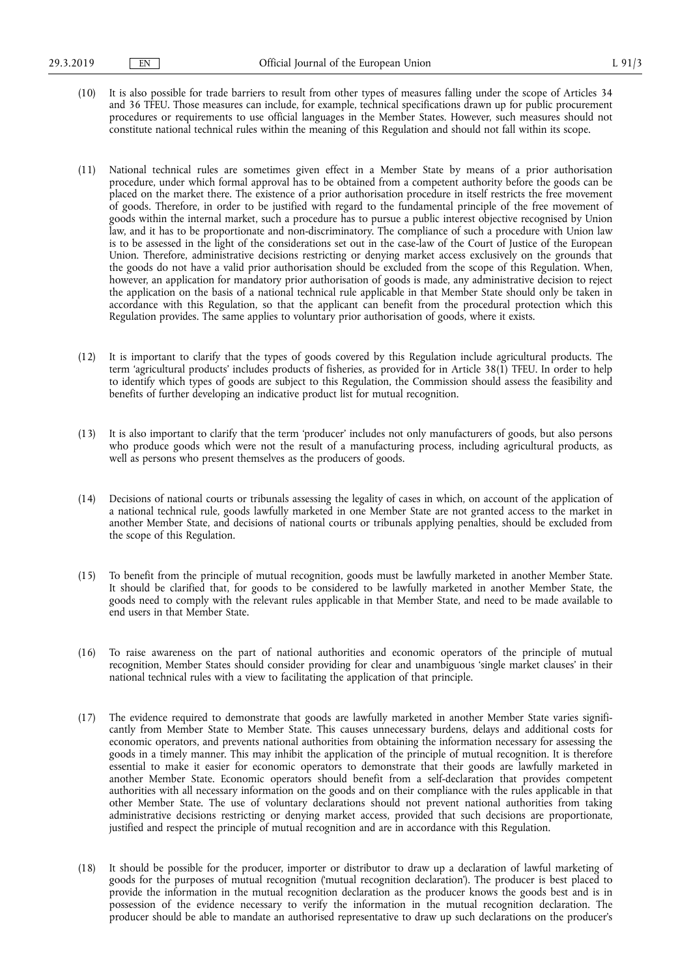- (10) It is also possible for trade barriers to result from other types of measures falling under the scope of Articles 34 and 36 TFEU. Those measures can include, for example, technical specifications drawn up for public procurement procedures or requirements to use official languages in the Member States. However, such measures should not constitute national technical rules within the meaning of this Regulation and should not fall within its scope.
- (11) National technical rules are sometimes given effect in a Member State by means of a prior authorisation procedure, under which formal approval has to be obtained from a competent authority before the goods can be placed on the market there. The existence of a prior authorisation procedure in itself restricts the free movement of goods. Therefore, in order to be justified with regard to the fundamental principle of the free movement of goods within the internal market, such a procedure has to pursue a public interest objective recognised by Union law, and it has to be proportionate and non-discriminatory. The compliance of such a procedure with Union law is to be assessed in the light of the considerations set out in the case-law of the Court of Justice of the European Union. Therefore, administrative decisions restricting or denying market access exclusively on the grounds that the goods do not have a valid prior authorisation should be excluded from the scope of this Regulation. When, however, an application for mandatory prior authorisation of goods is made, any administrative decision to reject the application on the basis of a national technical rule applicable in that Member State should only be taken in accordance with this Regulation, so that the applicant can benefit from the procedural protection which this Regulation provides. The same applies to voluntary prior authorisation of goods, where it exists.
- (12) It is important to clarify that the types of goods covered by this Regulation include agricultural products. The term 'agricultural products' includes products of fisheries, as provided for in Article 38(1) TFEU. In order to help to identify which types of goods are subject to this Regulation, the Commission should assess the feasibility and benefits of further developing an indicative product list for mutual recognition.
- (13) It is also important to clarify that the term 'producer' includes not only manufacturers of goods, but also persons who produce goods which were not the result of a manufacturing process, including agricultural products, as well as persons who present themselves as the producers of goods.
- (14) Decisions of national courts or tribunals assessing the legality of cases in which, on account of the application of a national technical rule, goods lawfully marketed in one Member State are not granted access to the market in another Member State, and decisions of national courts or tribunals applying penalties, should be excluded from the scope of this Regulation.
- (15) To benefit from the principle of mutual recognition, goods must be lawfully marketed in another Member State. It should be clarified that, for goods to be considered to be lawfully marketed in another Member State, the goods need to comply with the relevant rules applicable in that Member State, and need to be made available to end users in that Member State.
- (16) To raise awareness on the part of national authorities and economic operators of the principle of mutual recognition, Member States should consider providing for clear and unambiguous 'single market clauses' in their national technical rules with a view to facilitating the application of that principle.
- (17) The evidence required to demonstrate that goods are lawfully marketed in another Member State varies significantly from Member State to Member State. This causes unnecessary burdens, delays and additional costs for economic operators, and prevents national authorities from obtaining the information necessary for assessing the goods in a timely manner. This may inhibit the application of the principle of mutual recognition. It is therefore essential to make it easier for economic operators to demonstrate that their goods are lawfully marketed in another Member State. Economic operators should benefit from a self-declaration that provides competent authorities with all necessary information on the goods and on their compliance with the rules applicable in that other Member State. The use of voluntary declarations should not prevent national authorities from taking administrative decisions restricting or denying market access, provided that such decisions are proportionate, justified and respect the principle of mutual recognition and are in accordance with this Regulation.
- (18) It should be possible for the producer, importer or distributor to draw up a declaration of lawful marketing of goods for the purposes of mutual recognition ('mutual recognition declaration'). The producer is best placed to provide the information in the mutual recognition declaration as the producer knows the goods best and is in possession of the evidence necessary to verify the information in the mutual recognition declaration. The producer should be able to mandate an authorised representative to draw up such declarations on the producer's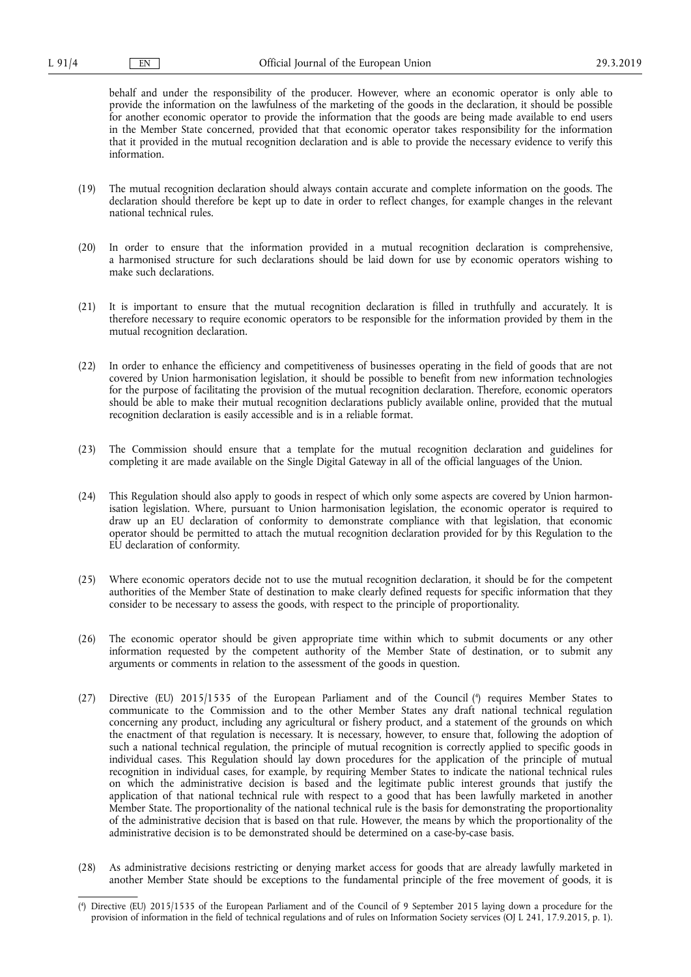behalf and under the responsibility of the producer. However, where an economic operator is only able to provide the information on the lawfulness of the marketing of the goods in the declaration, it should be possible for another economic operator to provide the information that the goods are being made available to end users in the Member State concerned, provided that that economic operator takes responsibility for the information that it provided in the mutual recognition declaration and is able to provide the necessary evidence to verify this information.

- (19) The mutual recognition declaration should always contain accurate and complete information on the goods. The declaration should therefore be kept up to date in order to reflect changes, for example changes in the relevant national technical rules.
- (20) In order to ensure that the information provided in a mutual recognition declaration is comprehensive, a harmonised structure for such declarations should be laid down for use by economic operators wishing to make such declarations.
- (21) It is important to ensure that the mutual recognition declaration is filled in truthfully and accurately. It is therefore necessary to require economic operators to be responsible for the information provided by them in the mutual recognition declaration.
- (22) In order to enhance the efficiency and competitiveness of businesses operating in the field of goods that are not covered by Union harmonisation legislation, it should be possible to benefit from new information technologies for the purpose of facilitating the provision of the mutual recognition declaration. Therefore, economic operators should be able to make their mutual recognition declarations publicly available online, provided that the mutual recognition declaration is easily accessible and is in a reliable format.
- (23) The Commission should ensure that a template for the mutual recognition declaration and guidelines for completing it are made available on the Single Digital Gateway in all of the official languages of the Union.
- (24) This Regulation should also apply to goods in respect of which only some aspects are covered by Union harmonisation legislation. Where, pursuant to Union harmonisation legislation, the economic operator is required to draw up an EU declaration of conformity to demonstrate compliance with that legislation, that economic operator should be permitted to attach the mutual recognition declaration provided for by this Regulation to the EU declaration of conformity.
- (25) Where economic operators decide not to use the mutual recognition declaration, it should be for the competent authorities of the Member State of destination to make clearly defined requests for specific information that they consider to be necessary to assess the goods, with respect to the principle of proportionality.
- (26) The economic operator should be given appropriate time within which to submit documents or any other information requested by the competent authority of the Member State of destination, or to submit any arguments or comments in relation to the assessment of the goods in question.
- (27) Directive (EU) 2015/1535 of the European Parliament and of the Council ( 4 ) requires Member States to communicate to the Commission and to the other Member States any draft national technical regulation concerning any product, including any agricultural or fishery product, and a statement of the grounds on which the enactment of that regulation is necessary. It is necessary, however, to ensure that, following the adoption of such a national technical regulation, the principle of mutual recognition is correctly applied to specific goods in individual cases. This Regulation should lay down procedures for the application of the principle of mutual recognition in individual cases, for example, by requiring Member States to indicate the national technical rules on which the administrative decision is based and the legitimate public interest grounds that justify the application of that national technical rule with respect to a good that has been lawfully marketed in another Member State. The proportionality of the national technical rule is the basis for demonstrating the proportionality of the administrative decision that is based on that rule. However, the means by which the proportionality of the administrative decision is to be demonstrated should be determined on a case-by-case basis.
- (28) As administrative decisions restricting or denying market access for goods that are already lawfully marketed in another Member State should be exceptions to the fundamental principle of the free movement of goods, it is

<sup>(</sup> 4 ) Directive (EU) 2015/1535 of the European Parliament and of the Council of 9 September 2015 laying down a procedure for the provision of information in the field of technical regulations and of rules on Information Society services (OJ L 241, 17.9.2015, p. 1).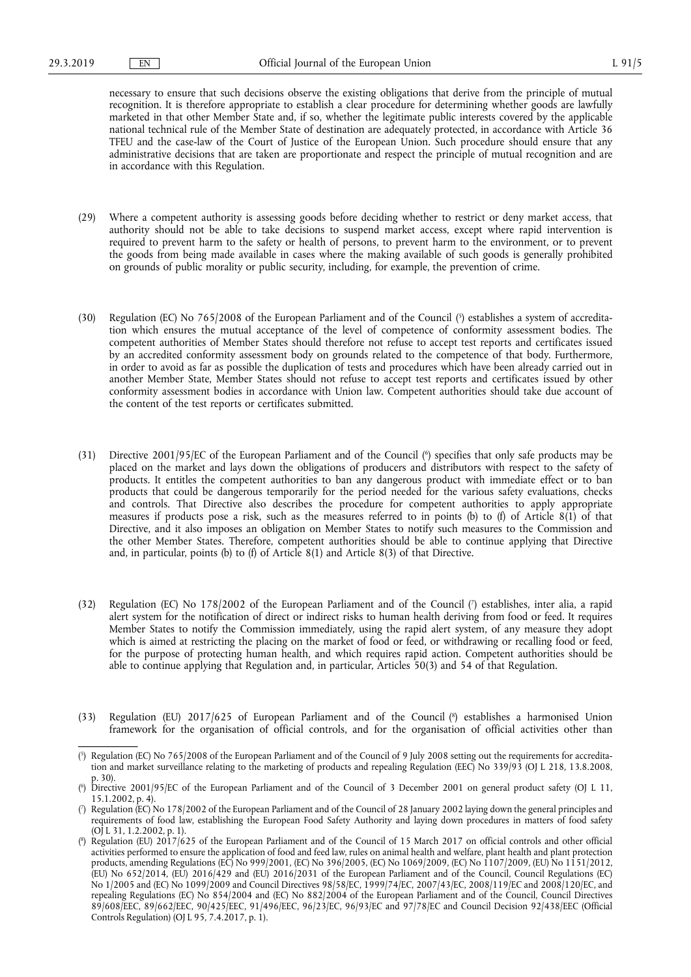necessary to ensure that such decisions observe the existing obligations that derive from the principle of mutual recognition. It is therefore appropriate to establish a clear procedure for determining whether goods are lawfully marketed in that other Member State and, if so, whether the legitimate public interests covered by the applicable national technical rule of the Member State of destination are adequately protected, in accordance with Article 36 TFEU and the case-law of the Court of Justice of the European Union. Such procedure should ensure that any administrative decisions that are taken are proportionate and respect the principle of mutual recognition and are in accordance with this Regulation.

- (29) Where a competent authority is assessing goods before deciding whether to restrict or deny market access, that authority should not be able to take decisions to suspend market access, except where rapid intervention is required to prevent harm to the safety or health of persons, to prevent harm to the environment, or to prevent the goods from being made available in cases where the making available of such goods is generally prohibited on grounds of public morality or public security, including, for example, the prevention of crime.
- (30) Regulation (EC) No 765/2008 of the European Parliament and of the Council (5) establishes a system of accreditation which ensures the mutual acceptance of the level of competence of conformity assessment bodies. The competent authorities of Member States should therefore not refuse to accept test reports and certificates issued by an accredited conformity assessment body on grounds related to the competence of that body. Furthermore, in order to avoid as far as possible the duplication of tests and procedures which have been already carried out in another Member State, Member States should not refuse to accept test reports and certificates issued by other conformity assessment bodies in accordance with Union law. Competent authorities should take due account of the content of the test reports or certificates submitted.
- (31) Directive 2001/95/EC of the European Parliament and of the Council ( 6 ) specifies that only safe products may be placed on the market and lays down the obligations of producers and distributors with respect to the safety of products. It entitles the competent authorities to ban any dangerous product with immediate effect or to ban products that could be dangerous temporarily for the period needed for the various safety evaluations, checks and controls. That Directive also describes the procedure for competent authorities to apply appropriate measures if products pose a risk, such as the measures referred to in points (b) to (f) of Article 8(1) of that Directive, and it also imposes an obligation on Member States to notify such measures to the Commission and the other Member States. Therefore, competent authorities should be able to continue applying that Directive and, in particular, points (b) to (f) of Article 8(1) and Article 8(3) of that Directive.
- (32) Regulation (EC) No 178/2002 of the European Parliament and of the Council (7) establishes, inter alia, a rapid alert system for the notification of direct or indirect risks to human health deriving from food or feed. It requires Member States to notify the Commission immediately, using the rapid alert system, of any measure they adopt which is aimed at restricting the placing on the market of food or feed, or withdrawing or recalling food or feed, for the purpose of protecting human health, and which requires rapid action. Competent authorities should be able to continue applying that Regulation and, in particular, Articles 50(3) and 54 of that Regulation.
- (33) Regulation (EU) 2017/625 of European Parliament and of the Council ( 8 ) establishes a harmonised Union framework for the organisation of official controls, and for the organisation of official activities other than

<sup>(</sup> 5 ) Regulation (EC) No 765/2008 of the European Parliament and of the Council of 9 July 2008 setting out the requirements for accreditation and market surveillance relating to the marketing of products and repealing Regulation (EEC) No 339/93 (OJ L 218, 13.8.2008, p. 30).

<sup>(</sup> 6 ) Directive 2001/95/EC of the European Parliament and of the Council of 3 December 2001 on general product safety (OJ L 11, 15.1.2002, p. 4).

<sup>(</sup> 7 ) Regulation (EC) No 178/2002 of the European Parliament and of the Council of 28 January 2002 laying down the general principles and requirements of food law, establishing the European Food Safety Authority and laying down procedures in matters of food safety (OJ L 31, 1.2.2002, p. 1).

<sup>(</sup> 8 ) Regulation (EU) 2017/625 of the European Parliament and of the Council of 15 March 2017 on official controls and other official activities performed to ensure the application of food and feed law, rules on animal health and welfare, plant health and plant protection products, amending Regulations (EC) No 999/2001, (EC) No 396/2005, (EC) No 1069/2009, (EC) No 1107/2009, (EU) No 1151/2012, (EU) No 652/2014, (EU) 2016/429 and (EU) 2016/2031 of the European Parliament and of the Council, Council Regulations (EC) No 1/2005 and (EC) No 1099/2009 and Council Directives 98/58/EC, 1999/74/EC, 2007/43/EC, 2008/119/EC and 2008/120/EC, and repealing Regulations (EC) No 854/2004 and (EC) No 882/2004 of the European Parliament and of the Council, Council Directives 89/608/EEC, 89/662/EEC, 90/425/EEC, 91/496/EEC, 96/23/EC, 96/93/EC and 97/78/EC and Council Decision 92/438/EEC (Official Controls Regulation) (OJ L 95, 7.4.2017, p. 1).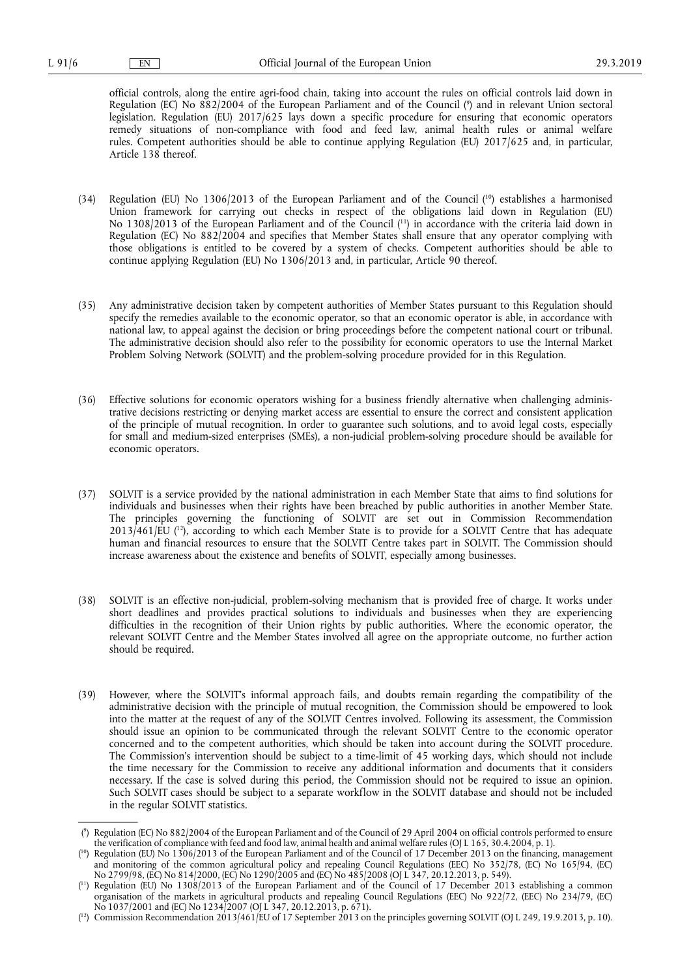official controls, along the entire agri-food chain, taking into account the rules on official controls laid down in Regulation (EC) No 882/2004 of the European Parliament and of the Council ( 9 ) and in relevant Union sectoral legislation. Regulation (EU) 2017/625 lays down a specific procedure for ensuring that economic operators remedy situations of non-compliance with food and feed law, animal health rules or animal welfare rules. Competent authorities should be able to continue applying Regulation (EU) 2017/625 and, in particular, Article 138 thereof.

- (34) Regulation (EU) No 1306/2013 of the European Parliament and of the Council ( 10) establishes a harmonised Union framework for carrying out checks in respect of the obligations laid down in Regulation (EU) No 1308/2013 of the European Parliament and of the Council ( 11) in accordance with the criteria laid down in Regulation (EC) No 882/2004 and specifies that Member States shall ensure that any operator complying with those obligations is entitled to be covered by a system of checks. Competent authorities should be able to continue applying Regulation (EU) No 1306/2013 and, in particular, Article 90 thereof.
- (35) Any administrative decision taken by competent authorities of Member States pursuant to this Regulation should specify the remedies available to the economic operator, so that an economic operator is able, in accordance with national law, to appeal against the decision or bring proceedings before the competent national court or tribunal. The administrative decision should also refer to the possibility for economic operators to use the Internal Market Problem Solving Network (SOLVIT) and the problem-solving procedure provided for in this Regulation.
- (36) Effective solutions for economic operators wishing for a business friendly alternative when challenging administrative decisions restricting or denying market access are essential to ensure the correct and consistent application of the principle of mutual recognition. In order to guarantee such solutions, and to avoid legal costs, especially for small and medium-sized enterprises (SMEs), a non-judicial problem-solving procedure should be available for economic operators.
- (37) SOLVIT is a service provided by the national administration in each Member State that aims to find solutions for individuals and businesses when their rights have been breached by public authorities in another Member State. The principles governing the functioning of SOLVIT are set out in Commission Recommendation 2013/461/EU ( 12), according to which each Member State is to provide for a SOLVIT Centre that has adequate human and financial resources to ensure that the SOLVIT Centre takes part in SOLVIT. The Commission should increase awareness about the existence and benefits of SOLVIT, especially among businesses.
- (38) SOLVIT is an effective non-judicial, problem-solving mechanism that is provided free of charge. It works under short deadlines and provides practical solutions to individuals and businesses when they are experiencing difficulties in the recognition of their Union rights by public authorities. Where the economic operator, the relevant SOLVIT Centre and the Member States involved all agree on the appropriate outcome, no further action should be required.
- (39) However, where the SOLVIT's informal approach fails, and doubts remain regarding the compatibility of the administrative decision with the principle of mutual recognition, the Commission should be empowered to look into the matter at the request of any of the SOLVIT Centres involved. Following its assessment, the Commission should issue an opinion to be communicated through the relevant SOLVIT Centre to the economic operator concerned and to the competent authorities, which should be taken into account during the SOLVIT procedure. The Commission's intervention should be subject to a time-limit of 45 working days, which should not include the time necessary for the Commission to receive any additional information and documents that it considers necessary. If the case is solved during this period, the Commission should not be required to issue an opinion. Such SOLVIT cases should be subject to a separate workflow in the SOLVIT database and should not be included in the regular SOLVIT statistics.

<sup>(</sup> 9 ) Regulation (EC) No 882/2004 of the European Parliament and of the Council of 29 April 2004 on official controls performed to ensure the verification of compliance with feed and food law, animal health and animal welfare rules (OJ L 165, 30.4.2004, p. 1).

<sup>(</sup> 10) Regulation (EU) No 1306/2013 of the European Parliament and of the Council of 17 December 2013 on the financing, management and monitoring of the common agricultural policy and repealing Council Regulations (EEC) No 352/78, (EC) No 165/94, (EC) No 2799/98, (EC) No 814/2000, (EC) No 1290/2005 and (EC) No 485/2008 (OJ L 347, 20.12.2013, p. 549).

<sup>(</sup> 11) Regulation (EU) No 1308/2013 of the European Parliament and of the Council of 17 December 2013 establishing a common organisation of the markets in agricultural products and repealing Council Regulations (EEC) No 922/72, (EEC) No 234/79, (EC) No 1037/2001 and (EC) No 1234/2007 (OJ L 347, 20.12.2013, p. 671).

<sup>(</sup> 12) Commission Recommendation 2013/461/EU of 17 September 2013 on the principles governing SOLVIT (OJ L 249, 19.9.2013, p. 10).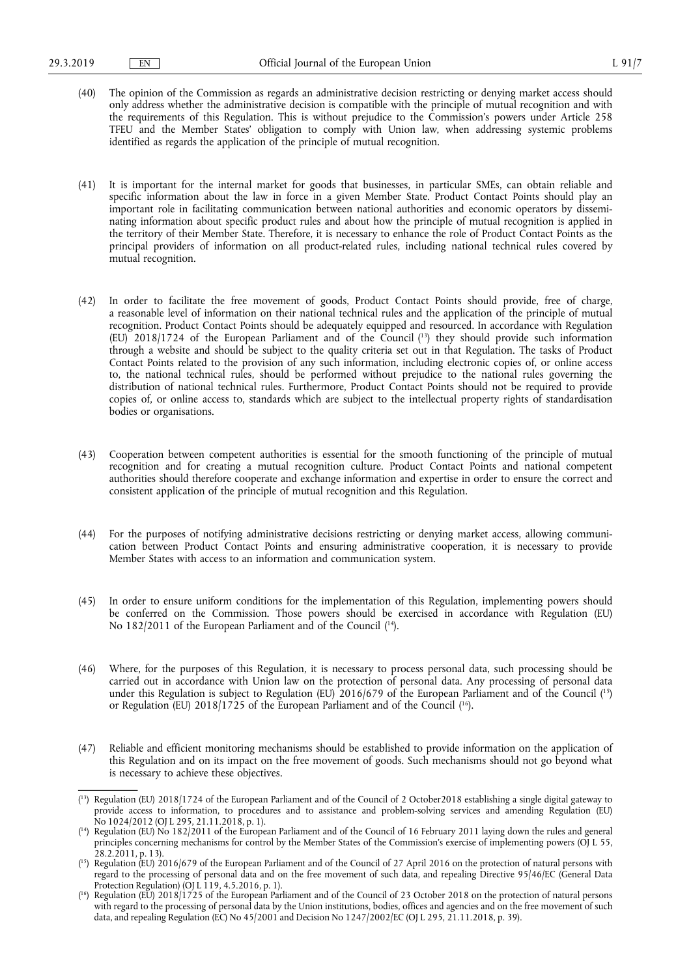(40) The opinion of the Commission as regards an administrative decision restricting or denying market access should only address whether the administrative decision is compatible with the principle of mutual recognition and with the requirements of this Regulation. This is without prejudice to the Commission's powers under Article 258 TFEU and the Member States' obligation to comply with Union law, when addressing systemic problems identified as regards the application of the principle of mutual recognition.

(41) It is important for the internal market for goods that businesses, in particular SMEs, can obtain reliable and specific information about the law in force in a given Member State. Product Contact Points should play an important role in facilitating communication between national authorities and economic operators by disseminating information about specific product rules and about how the principle of mutual recognition is applied in the territory of their Member State. Therefore, it is necessary to enhance the role of Product Contact Points as the principal providers of information on all product-related rules, including national technical rules covered by mutual recognition.

- (42) In order to facilitate the free movement of goods, Product Contact Points should provide, free of charge, a reasonable level of information on their national technical rules and the application of the principle of mutual recognition. Product Contact Points should be adequately equipped and resourced. In accordance with Regulation (EU) 2018/1724 of the European Parliament and of the Council ( 13) they should provide such information through a website and should be subject to the quality criteria set out in that Regulation. The tasks of Product Contact Points related to the provision of any such information, including electronic copies of, or online access to, the national technical rules, should be performed without prejudice to the national rules governing the distribution of national technical rules. Furthermore, Product Contact Points should not be required to provide copies of, or online access to, standards which are subject to the intellectual property rights of standardisation bodies or organisations.
- (43) Cooperation between competent authorities is essential for the smooth functioning of the principle of mutual recognition and for creating a mutual recognition culture. Product Contact Points and national competent authorities should therefore cooperate and exchange information and expertise in order to ensure the correct and consistent application of the principle of mutual recognition and this Regulation.
- (44) For the purposes of notifying administrative decisions restricting or denying market access, allowing communication between Product Contact Points and ensuring administrative cooperation, it is necessary to provide Member States with access to an information and communication system.
- (45) In order to ensure uniform conditions for the implementation of this Regulation, implementing powers should be conferred on the Commission. Those powers should be exercised in accordance with Regulation (EU) No 182/2011 of the European Parliament and of the Council ( 14).
- (46) Where, for the purposes of this Regulation, it is necessary to process personal data, such processing should be carried out in accordance with Union law on the protection of personal data. Any processing of personal data under this Regulation is subject to Regulation (EU) 2016/679 of the European Parliament and of the Council ( 15) or Regulation (EU) 2018/1725 of the European Parliament and of the Council ( 16).
- (47) Reliable and efficient monitoring mechanisms should be established to provide information on the application of this Regulation and on its impact on the free movement of goods. Such mechanisms should not go beyond what is necessary to achieve these objectives.

<sup>(</sup> 13) Regulation (EU) 2018/1724 of the European Parliament and of the Council of 2 October2018 establishing a single digital gateway to provide access to information, to procedures and to assistance and problem-solving services and amending Regulation (EU) No 1024/2012 (OJ L 295, 21.11.2018, p. 1).

<sup>(</sup> 14) Regulation (EU) No 182/2011 of the European Parliament and of the Council of 16 February 2011 laying down the rules and general principles concerning mechanisms for control by the Member States of the Commission's exercise of implementing powers (OJ L 55, 28.2.2011, p. 13).

<sup>&</sup>lt;sup>{15}</sup> Regulation (EU) 2016/679 of the European Parliament and of the Council of 27 April 2016 on the protection of natural persons with regard to the processing of personal data and on the free movement of such data, and repealing Directive 95/46/EC (General Data Protection Regulation) ( $\overline{O}$ J L 119, 4.5.2016, p. 1).

<sup>(</sup> 16) Regulation (EU) 2018/1725 of the European Parliament and of the Council of 23 October 2018 on the protection of natural persons with regard to the processing of personal data by the Union institutions, bodies, offices and agencies and on the free movement of such data, and repealing Regulation (EC) No 45/2001 and Decision No 1247/2002/EC (OJ L 295, 21.11.2018, p. 39).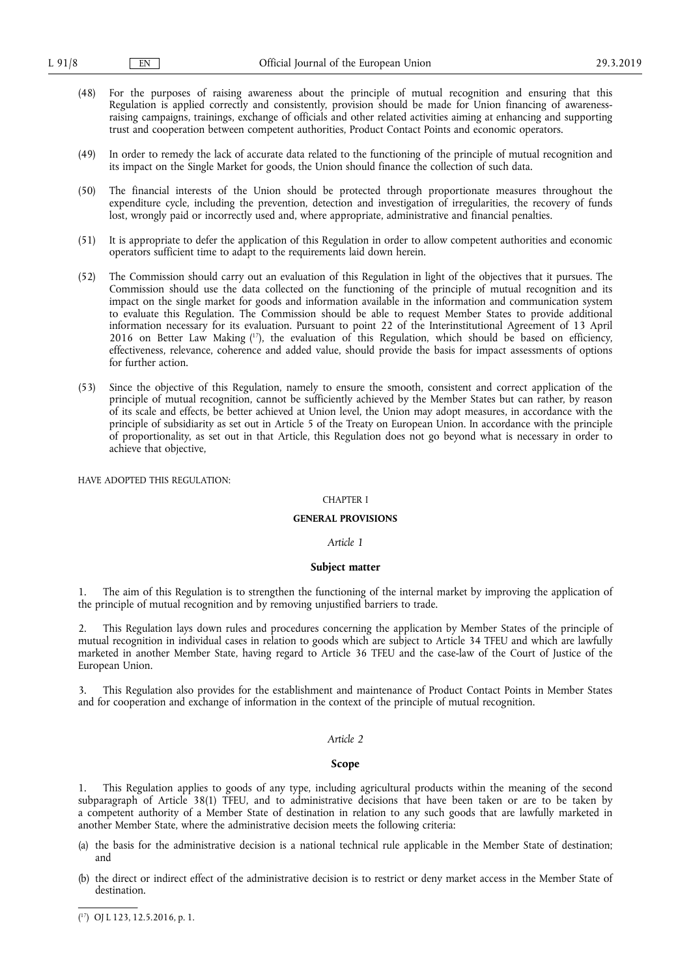- (48) For the purposes of raising awareness about the principle of mutual recognition and ensuring that this Regulation is applied correctly and consistently, provision should be made for Union financing of awarenessraising campaigns, trainings, exchange of officials and other related activities aiming at enhancing and supporting trust and cooperation between competent authorities, Product Contact Points and economic operators.
- (49) In order to remedy the lack of accurate data related to the functioning of the principle of mutual recognition and its impact on the Single Market for goods, the Union should finance the collection of such data.
- (50) The financial interests of the Union should be protected through proportionate measures throughout the expenditure cycle, including the prevention, detection and investigation of irregularities, the recovery of funds lost, wrongly paid or incorrectly used and, where appropriate, administrative and financial penalties.
- (51) It is appropriate to defer the application of this Regulation in order to allow competent authorities and economic operators sufficient time to adapt to the requirements laid down herein.
- (52) The Commission should carry out an evaluation of this Regulation in light of the objectives that it pursues. The Commission should use the data collected on the functioning of the principle of mutual recognition and its impact on the single market for goods and information available in the information and communication system to evaluate this Regulation. The Commission should be able to request Member States to provide additional information necessary for its evaluation. Pursuant to point 22 of the Interinstitutional Agreement of 13 April 2016 on Better Law Making (<sup>17</sup>), the evaluation of this Regulation, which should be based on efficiency, effectiveness, relevance, coherence and added value, should provide the basis for impact assessments of options for further action.
- (53) Since the objective of this Regulation, namely to ensure the smooth, consistent and correct application of the principle of mutual recognition, cannot be sufficiently achieved by the Member States but can rather, by reason of its scale and effects, be better achieved at Union level, the Union may adopt measures, in accordance with the principle of subsidiarity as set out in Article 5 of the Treaty on European Union. In accordance with the principle of proportionality, as set out in that Article, this Regulation does not go beyond what is necessary in order to achieve that objective,

HAVE ADOPTED THIS REGULATION:

### CHAPTER I

#### **GENERAL PROVISIONS**

#### *Article 1*

#### **Subject matter**

1. The aim of this Regulation is to strengthen the functioning of the internal market by improving the application of the principle of mutual recognition and by removing unjustified barriers to trade.

2. This Regulation lays down rules and procedures concerning the application by Member States of the principle of mutual recognition in individual cases in relation to goods which are subject to Article 34 TFEU and which are lawfully marketed in another Member State, having regard to Article 36 TFEU and the case-law of the Court of Justice of the European Union.

3. This Regulation also provides for the establishment and maintenance of Product Contact Points in Member States and for cooperation and exchange of information in the context of the principle of mutual recognition.

#### *Article 2*

# **Scope**

1. This Regulation applies to goods of any type, including agricultural products within the meaning of the second subparagraph of Article 38(1) TFEU, and to administrative decisions that have been taken or are to be taken by a competent authority of a Member State of destination in relation to any such goods that are lawfully marketed in another Member State, where the administrative decision meets the following criteria:

- (a) the basis for the administrative decision is a national technical rule applicable in the Member State of destination; and
- (b) the direct or indirect effect of the administrative decision is to restrict or deny market access in the Member State of destination.

( 17) OJ L 123, 12.5.2016, p. 1.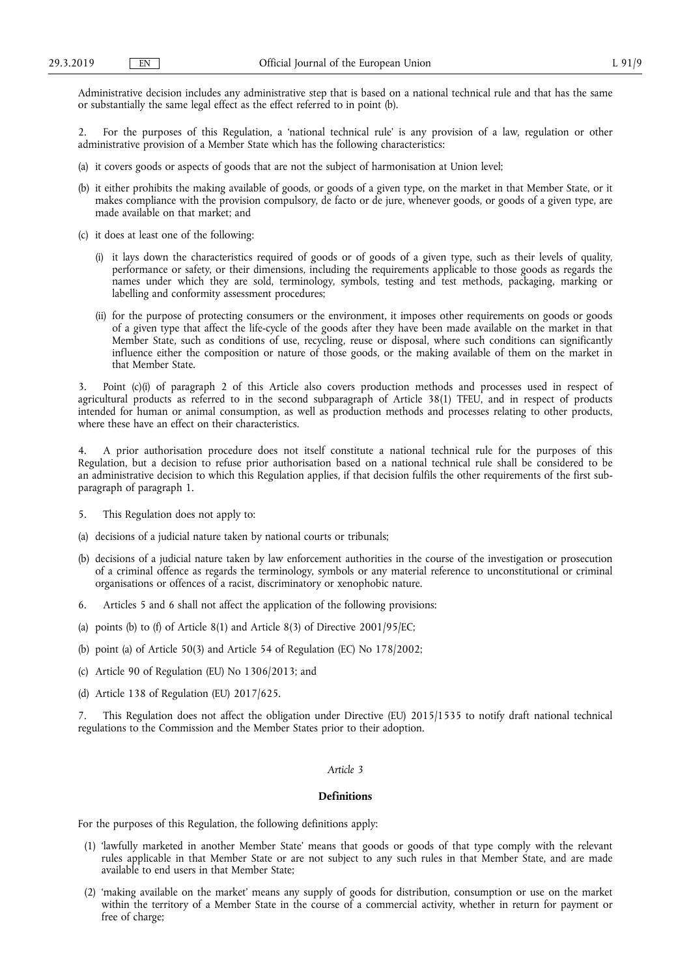Administrative decision includes any administrative step that is based on a national technical rule and that has the same or substantially the same legal effect as the effect referred to in point (b).

2. For the purposes of this Regulation, a 'national technical rule' is any provision of a law, regulation or other administrative provision of a Member State which has the following characteristics:

- (a) it covers goods or aspects of goods that are not the subject of harmonisation at Union level;
- (b) it either prohibits the making available of goods, or goods of a given type, on the market in that Member State, or it makes compliance with the provision compulsory, de facto or de jure, whenever goods, or goods of a given type, are made available on that market; and
- (c) it does at least one of the following:
	- (i) it lays down the characteristics required of goods or of goods of a given type, such as their levels of quality, performance or safety, or their dimensions, including the requirements applicable to those goods as regards the names under which they are sold, terminology, symbols, testing and test methods, packaging, marking or labelling and conformity assessment procedures;
	- (ii) for the purpose of protecting consumers or the environment, it imposes other requirements on goods or goods of a given type that affect the life-cycle of the goods after they have been made available on the market in that Member State, such as conditions of use, recycling, reuse or disposal, where such conditions can significantly influence either the composition or nature of those goods, or the making available of them on the market in that Member State.

3. Point (c)(i) of paragraph 2 of this Article also covers production methods and processes used in respect of agricultural products as referred to in the second subparagraph of Article 38(1) TFEU, and in respect of products intended for human or animal consumption, as well as production methods and processes relating to other products, where these have an effect on their characteristics.

4. A prior authorisation procedure does not itself constitute a national technical rule for the purposes of this Regulation, but a decision to refuse prior authorisation based on a national technical rule shall be considered to be an administrative decision to which this Regulation applies, if that decision fulfils the other requirements of the first subparagraph of paragraph 1.

- 5. This Regulation does not apply to:
- (a) decisions of a judicial nature taken by national courts or tribunals;
- (b) decisions of a judicial nature taken by law enforcement authorities in the course of the investigation or prosecution of a criminal offence as regards the terminology, symbols or any material reference to unconstitutional or criminal organisations or offences of a racist, discriminatory or xenophobic nature.
- 6. Articles 5 and 6 shall not affect the application of the following provisions:
- (a) points (b) to (f) of Article  $8(1)$  and Article  $8(3)$  of Directive 2001/95/EC;
- (b) point (a) of Article 50(3) and Article 54 of Regulation (EC) No 178/2002;
- (c) Article 90 of Regulation (EU) No 1306/2013; and
- (d) Article 138 of Regulation (EU) 2017/625.

This Regulation does not affect the obligation under Directive (EU) 2015/1535 to notify draft national technical regulations to the Commission and the Member States prior to their adoption.

# *Article 3*

#### **Definitions**

For the purposes of this Regulation, the following definitions apply:

- (1) 'lawfully marketed in another Member State' means that goods or goods of that type comply with the relevant rules applicable in that Member State or are not subject to any such rules in that Member State, and are made available to end users in that Member State;
- (2) 'making available on the market' means any supply of goods for distribution, consumption or use on the market within the territory of a Member State in the course of a commercial activity, whether in return for payment or free of charge;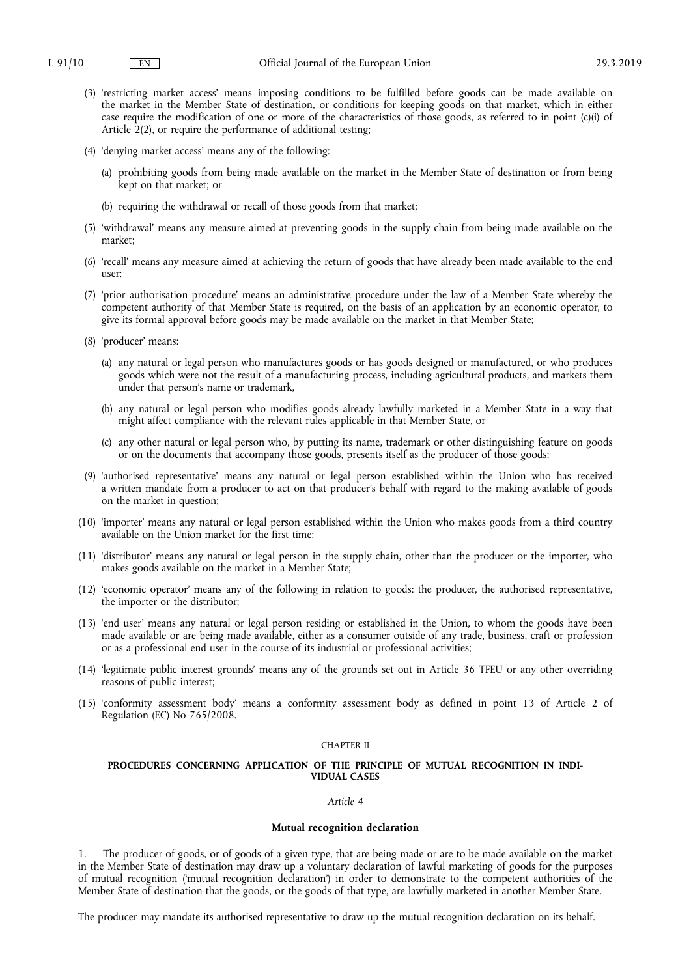- (3) 'restricting market access' means imposing conditions to be fulfilled before goods can be made available on the market in the Member State of destination, or conditions for keeping goods on that market, which in either case require the modification of one or more of the characteristics of those goods, as referred to in point (c)(i) of Article 2(2), or require the performance of additional testing;
- (4) 'denying market access' means any of the following:
	- (a) prohibiting goods from being made available on the market in the Member State of destination or from being kept on that market; or
	- (b) requiring the withdrawal or recall of those goods from that market;
- (5) 'withdrawal' means any measure aimed at preventing goods in the supply chain from being made available on the market;
- (6) 'recall' means any measure aimed at achieving the return of goods that have already been made available to the end user;
- (7) 'prior authorisation procedure' means an administrative procedure under the law of a Member State whereby the competent authority of that Member State is required, on the basis of an application by an economic operator, to give its formal approval before goods may be made available on the market in that Member State;
- (8) 'producer' means:
	- (a) any natural or legal person who manufactures goods or has goods designed or manufactured, or who produces goods which were not the result of a manufacturing process, including agricultural products, and markets them under that person's name or trademark,
	- (b) any natural or legal person who modifies goods already lawfully marketed in a Member State in a way that might affect compliance with the relevant rules applicable in that Member State, or
	- (c) any other natural or legal person who, by putting its name, trademark or other distinguishing feature on goods or on the documents that accompany those goods, presents itself as the producer of those goods;
- (9) 'authorised representative' means any natural or legal person established within the Union who has received a written mandate from a producer to act on that producer's behalf with regard to the making available of goods on the market in question;
- (10) 'importer' means any natural or legal person established within the Union who makes goods from a third country available on the Union market for the first time;
- (11) 'distributor' means any natural or legal person in the supply chain, other than the producer or the importer, who makes goods available on the market in a Member State;
- (12) 'economic operator' means any of the following in relation to goods: the producer, the authorised representative, the importer or the distributor;
- (13) 'end user' means any natural or legal person residing or established in the Union, to whom the goods have been made available or are being made available, either as a consumer outside of any trade, business, craft or profession or as a professional end user in the course of its industrial or professional activities;
- (14) 'legitimate public interest grounds' means any of the grounds set out in Article 36 TFEU or any other overriding reasons of public interest;
- (15) 'conformity assessment body' means a conformity assessment body as defined in point 13 of Article 2 of Regulation (EC) No 765/2008.

# CHAPTER II

#### **PROCEDURES CONCERNING APPLICATION OF THE PRINCIPLE OF MUTUAL RECOGNITION IN INDI-VIDUAL CASES**

#### *Article 4*

#### **Mutual recognition declaration**

1. The producer of goods, or of goods of a given type, that are being made or are to be made available on the market in the Member State of destination may draw up a voluntary declaration of lawful marketing of goods for the purposes of mutual recognition ('mutual recognition declaration') in order to demonstrate to the competent authorities of the Member State of destination that the goods, or the goods of that type, are lawfully marketed in another Member State.

The producer may mandate its authorised representative to draw up the mutual recognition declaration on its behalf.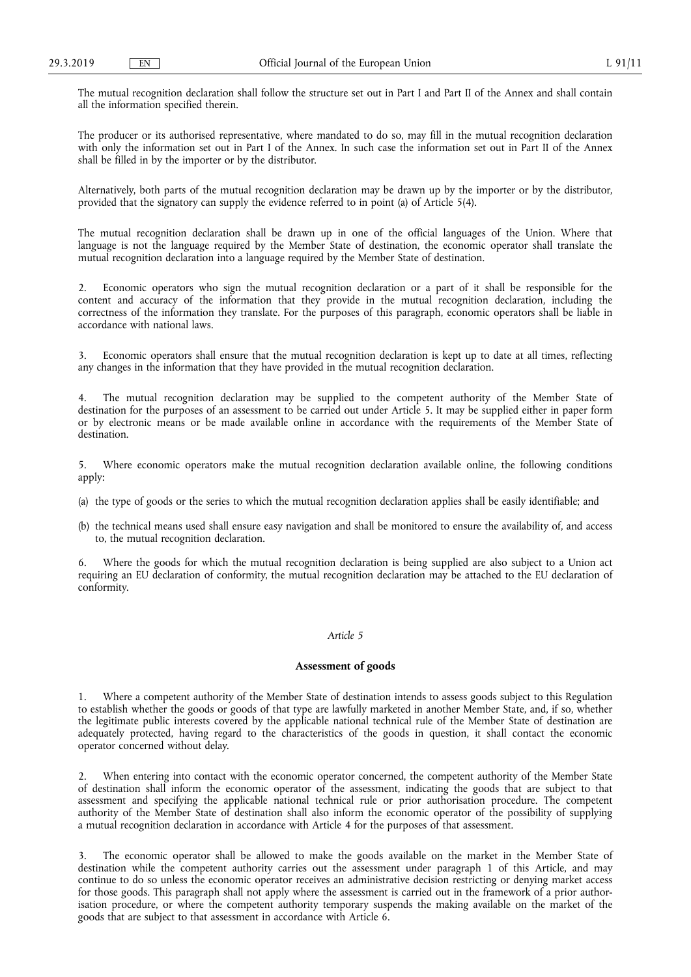The mutual recognition declaration shall follow the structure set out in Part I and Part II of the Annex and shall contain all the information specified therein.

The producer or its authorised representative, where mandated to do so, may fill in the mutual recognition declaration with only the information set out in Part I of the Annex. In such case the information set out in Part II of the Annex shall be filled in by the importer or by the distributor.

Alternatively, both parts of the mutual recognition declaration may be drawn up by the importer or by the distributor, provided that the signatory can supply the evidence referred to in point (a) of Article 5(4).

The mutual recognition declaration shall be drawn up in one of the official languages of the Union. Where that language is not the language required by the Member State of destination, the economic operator shall translate the mutual recognition declaration into a language required by the Member State of destination.

2. Economic operators who sign the mutual recognition declaration or a part of it shall be responsible for the content and accuracy of the information that they provide in the mutual recognition declaration, including the correctness of the information they translate. For the purposes of this paragraph, economic operators shall be liable in accordance with national laws.

Economic operators shall ensure that the mutual recognition declaration is kept up to date at all times, reflecting any changes in the information that they have provided in the mutual recognition declaration.

4. The mutual recognition declaration may be supplied to the competent authority of the Member State of destination for the purposes of an assessment to be carried out under Article 5. It may be supplied either in paper form or by electronic means or be made available online in accordance with the requirements of the Member State of destination.

5. Where economic operators make the mutual recognition declaration available online, the following conditions apply:

- (a) the type of goods or the series to which the mutual recognition declaration applies shall be easily identifiable; and
- (b) the technical means used shall ensure easy navigation and shall be monitored to ensure the availability of, and access to, the mutual recognition declaration.

Where the goods for which the mutual recognition declaration is being supplied are also subject to a Union act requiring an EU declaration of conformity, the mutual recognition declaration may be attached to the EU declaration of conformity.

# *Article 5*

# **Assessment of goods**

1. Where a competent authority of the Member State of destination intends to assess goods subject to this Regulation to establish whether the goods or goods of that type are lawfully marketed in another Member State, and, if so, whether the legitimate public interests covered by the applicable national technical rule of the Member State of destination are adequately protected, having regard to the characteristics of the goods in question, it shall contact the economic operator concerned without delay.

2. When entering into contact with the economic operator concerned, the competent authority of the Member State of destination shall inform the economic operator of the assessment, indicating the goods that are subject to that assessment and specifying the applicable national technical rule or prior authorisation procedure. The competent authority of the Member State of destination shall also inform the economic operator of the possibility of supplying a mutual recognition declaration in accordance with Article 4 for the purposes of that assessment.

The economic operator shall be allowed to make the goods available on the market in the Member State of destination while the competent authority carries out the assessment under paragraph 1 of this Article, and may continue to do so unless the economic operator receives an administrative decision restricting or denying market access for those goods. This paragraph shall not apply where the assessment is carried out in the framework of a prior authorisation procedure, or where the competent authority temporary suspends the making available on the market of the goods that are subject to that assessment in accordance with Article 6.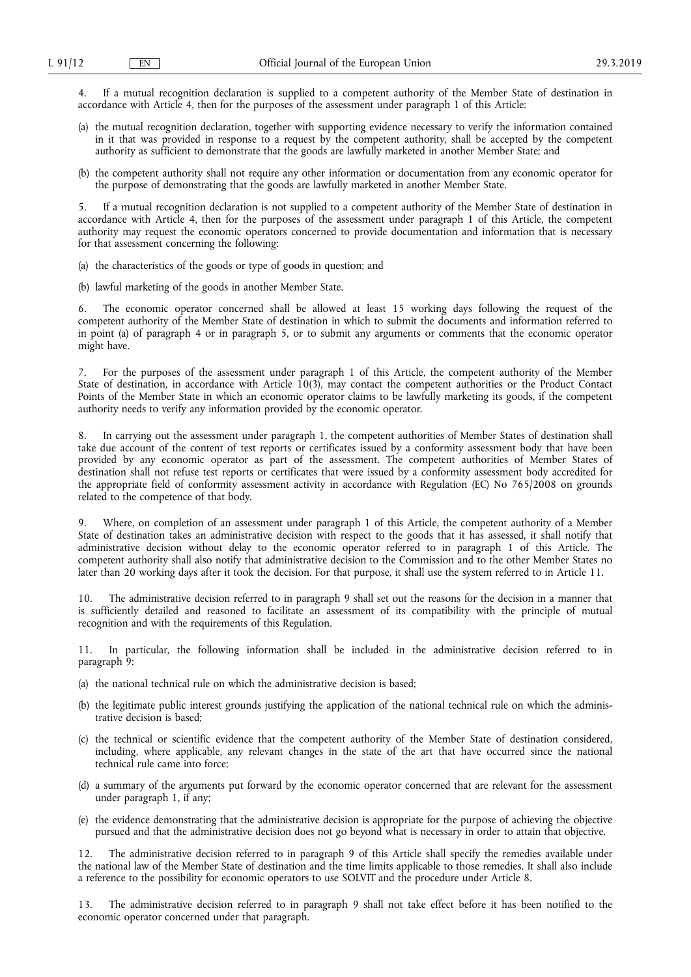4. If a mutual recognition declaration is supplied to a competent authority of the Member State of destination in accordance with Article 4, then for the purposes of the assessment under paragraph 1 of this Article:

- (a) the mutual recognition declaration, together with supporting evidence necessary to verify the information contained in it that was provided in response to a request by the competent authority, shall be accepted by the competent authority as sufficient to demonstrate that the goods are lawfully marketed in another Member State; and
- (b) the competent authority shall not require any other information or documentation from any economic operator for the purpose of demonstrating that the goods are lawfully marketed in another Member State.

5. If a mutual recognition declaration is not supplied to a competent authority of the Member State of destination in accordance with Article 4, then for the purposes of the assessment under paragraph 1 of this Article, the competent authority may request the economic operators concerned to provide documentation and information that is necessary for that assessment concerning the following:

- (a) the characteristics of the goods or type of goods in question; and
- (b) lawful marketing of the goods in another Member State.

The economic operator concerned shall be allowed at least 15 working days following the request of the competent authority of the Member State of destination in which to submit the documents and information referred to in point (a) of paragraph 4 or in paragraph 5, or to submit any arguments or comments that the economic operator might have.

7. For the purposes of the assessment under paragraph 1 of this Article, the competent authority of the Member State of destination, in accordance with Article 10(3), may contact the competent authorities or the Product Contact Points of the Member State in which an economic operator claims to be lawfully marketing its goods, if the competent authority needs to verify any information provided by the economic operator.

8. In carrying out the assessment under paragraph 1, the competent authorities of Member States of destination shall take due account of the content of test reports or certificates issued by a conformity assessment body that have been provided by any economic operator as part of the assessment. The competent authorities of Member States of destination shall not refuse test reports or certificates that were issued by a conformity assessment body accredited for the appropriate field of conformity assessment activity in accordance with Regulation (EC) No 765/2008 on grounds related to the competence of that body.

Where, on completion of an assessment under paragraph 1 of this Article, the competent authority of a Member State of destination takes an administrative decision with respect to the goods that it has assessed, it shall notify that administrative decision without delay to the economic operator referred to in paragraph 1 of this Article. The competent authority shall also notify that administrative decision to the Commission and to the other Member States no later than 20 working days after it took the decision. For that purpose, it shall use the system referred to in Article 11.

10. The administrative decision referred to in paragraph 9 shall set out the reasons for the decision in a manner that is sufficiently detailed and reasoned to facilitate an assessment of its compatibility with the principle of mutual recognition and with the requirements of this Regulation.

11. In particular, the following information shall be included in the administrative decision referred to in paragraph 9:

- (a) the national technical rule on which the administrative decision is based;
- (b) the legitimate public interest grounds justifying the application of the national technical rule on which the administrative decision is based;
- (c) the technical or scientific evidence that the competent authority of the Member State of destination considered, including, where applicable, any relevant changes in the state of the art that have occurred since the national technical rule came into force;
- (d) a summary of the arguments put forward by the economic operator concerned that are relevant for the assessment under paragraph 1, if any;
- (e) the evidence demonstrating that the administrative decision is appropriate for the purpose of achieving the objective pursued and that the administrative decision does not go beyond what is necessary in order to attain that objective.

12. The administrative decision referred to in paragraph 9 of this Article shall specify the remedies available under the national law of the Member State of destination and the time limits applicable to those remedies. It shall also include a reference to the possibility for economic operators to use SOLVIT and the procedure under Article 8.

13. The administrative decision referred to in paragraph 9 shall not take effect before it has been notified to the economic operator concerned under that paragraph.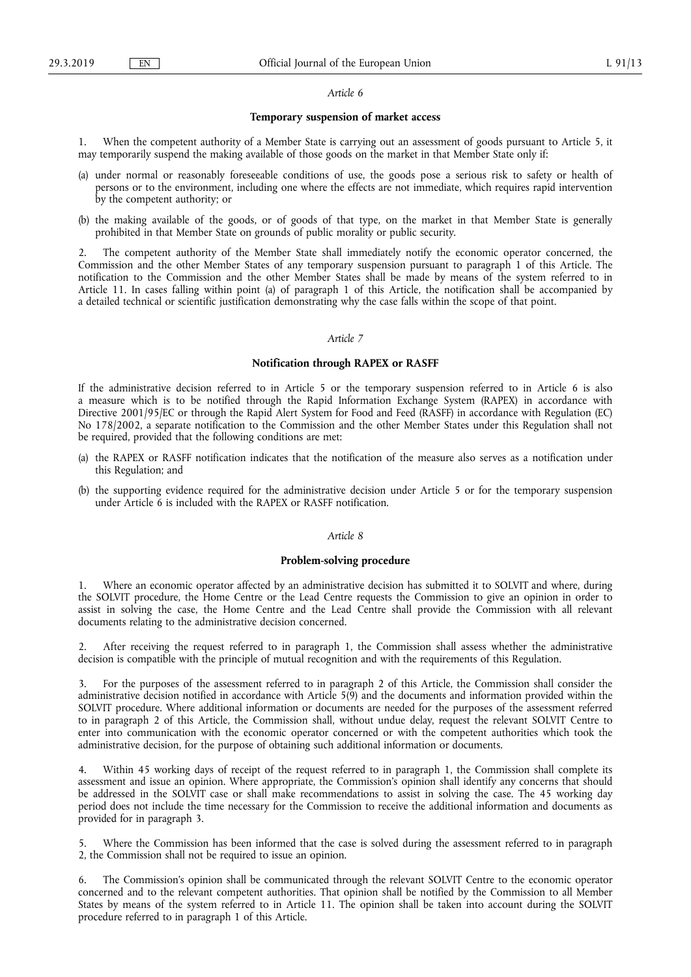#### *Article 6*

#### **Temporary suspension of market access**

When the competent authority of a Member State is carrying out an assessment of goods pursuant to Article 5, it may temporarily suspend the making available of those goods on the market in that Member State only if:

- (a) under normal or reasonably foreseeable conditions of use, the goods pose a serious risk to safety or health of persons or to the environment, including one where the effects are not immediate, which requires rapid intervention by the competent authority; or
- (b) the making available of the goods, or of goods of that type, on the market in that Member State is generally prohibited in that Member State on grounds of public morality or public security.

2. The competent authority of the Member State shall immediately notify the economic operator concerned, the Commission and the other Member States of any temporary suspension pursuant to paragraph 1 of this Article. The notification to the Commission and the other Member States shall be made by means of the system referred to in Article 11. In cases falling within point (a) of paragraph 1 of this Article, the notification shall be accompanied by a detailed technical or scientific justification demonstrating why the case falls within the scope of that point.

# *Article 7*

#### **Notification through RAPEX or RASFF**

If the administrative decision referred to in Article 5 or the temporary suspension referred to in Article 6 is also a measure which is to be notified through the Rapid Information Exchange System (RAPEX) in accordance with Directive 2001/95/EC or through the Rapid Alert System for Food and Feed (RASFF) in accordance with Regulation (EC) No 178/2002, a separate notification to the Commission and the other Member States under this Regulation shall not be required, provided that the following conditions are met:

- (a) the RAPEX or RASFF notification indicates that the notification of the measure also serves as a notification under this Regulation; and
- (b) the supporting evidence required for the administrative decision under Article 5 or for the temporary suspension under Article 6 is included with the RAPEX or RASFF notification.

#### *Article 8*

#### **Problem-solving procedure**

Where an economic operator affected by an administrative decision has submitted it to SOLVIT and where, during the SOLVIT procedure, the Home Centre or the Lead Centre requests the Commission to give an opinion in order to assist in solving the case, the Home Centre and the Lead Centre shall provide the Commission with all relevant documents relating to the administrative decision concerned.

2. After receiving the request referred to in paragraph 1, the Commission shall assess whether the administrative decision is compatible with the principle of mutual recognition and with the requirements of this Regulation.

3. For the purposes of the assessment referred to in paragraph 2 of this Article, the Commission shall consider the administrative decision notified in accordance with Article 5(9) and the documents and information provided within the SOLVIT procedure. Where additional information or documents are needed for the purposes of the assessment referred to in paragraph 2 of this Article, the Commission shall, without undue delay, request the relevant SOLVIT Centre to enter into communication with the economic operator concerned or with the competent authorities which took the administrative decision, for the purpose of obtaining such additional information or documents.

4. Within 45 working days of receipt of the request referred to in paragraph 1, the Commission shall complete its assessment and issue an opinion. Where appropriate, the Commission's opinion shall identify any concerns that should be addressed in the SOLVIT case or shall make recommendations to assist in solving the case. The 45 working day period does not include the time necessary for the Commission to receive the additional information and documents as provided for in paragraph 3.

Where the Commission has been informed that the case is solved during the assessment referred to in paragraph 2, the Commission shall not be required to issue an opinion.

6. The Commission's opinion shall be communicated through the relevant SOLVIT Centre to the economic operator concerned and to the relevant competent authorities. That opinion shall be notified by the Commission to all Member States by means of the system referred to in Article 11. The opinion shall be taken into account during the SOLVIT procedure referred to in paragraph 1 of this Article.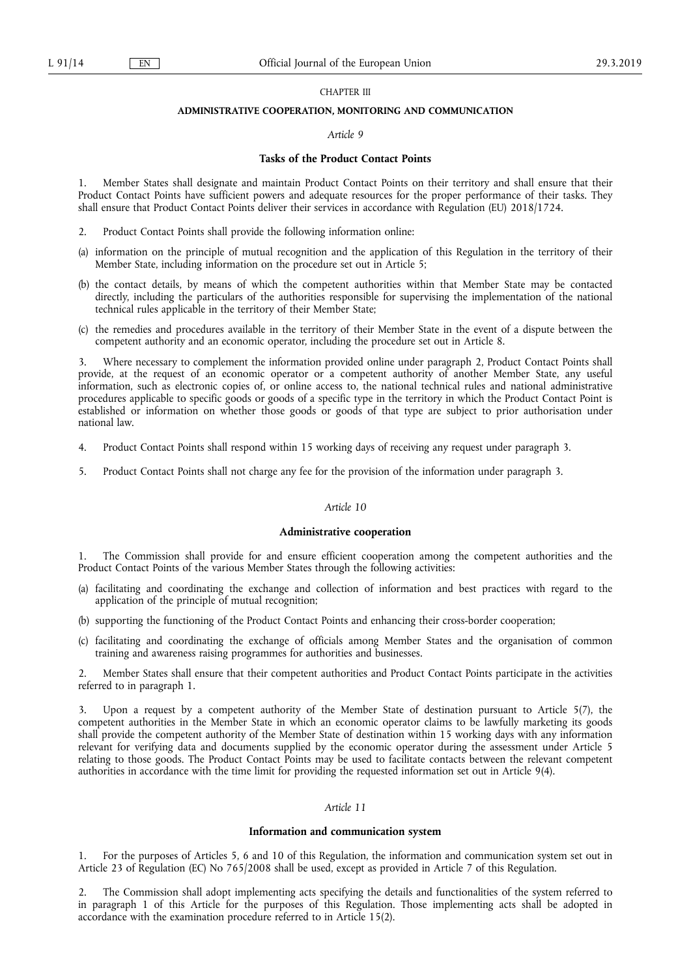# CHAPTER III

#### **ADMINISTRATIVE COOPERATION, MONITORING AND COMMUNICATION**

#### *Article 9*

#### **Tasks of the Product Contact Points**

1. Member States shall designate and maintain Product Contact Points on their territory and shall ensure that their Product Contact Points have sufficient powers and adequate resources for the proper performance of their tasks. They shall ensure that Product Contact Points deliver their services in accordance with Regulation (EU) 2018/1724.

- 2. Product Contact Points shall provide the following information online:
- (a) information on the principle of mutual recognition and the application of this Regulation in the territory of their Member State, including information on the procedure set out in Article 5;
- (b) the contact details, by means of which the competent authorities within that Member State may be contacted directly, including the particulars of the authorities responsible for supervising the implementation of the national technical rules applicable in the territory of their Member State;
- (c) the remedies and procedures available in the territory of their Member State in the event of a dispute between the competent authority and an economic operator, including the procedure set out in Article 8.

Where necessary to complement the information provided online under paragraph 2, Product Contact Points shall provide, at the request of an economic operator or a competent authority of another Member State, any useful information, such as electronic copies of, or online access to, the national technical rules and national administrative procedures applicable to specific goods or goods of a specific type in the territory in which the Product Contact Point is established or information on whether those goods or goods of that type are subject to prior authorisation under national law.

- 4. Product Contact Points shall respond within 15 working days of receiving any request under paragraph 3.
- 5. Product Contact Points shall not charge any fee for the provision of the information under paragraph 3.

#### *Article 10*

# **Administrative cooperation**

1. The Commission shall provide for and ensure efficient cooperation among the competent authorities and the Product Contact Points of the various Member States through the following activities:

- (a) facilitating and coordinating the exchange and collection of information and best practices with regard to the application of the principle of mutual recognition;
- (b) supporting the functioning of the Product Contact Points and enhancing their cross-border cooperation;
- (c) facilitating and coordinating the exchange of officials among Member States and the organisation of common training and awareness raising programmes for authorities and businesses.

2. Member States shall ensure that their competent authorities and Product Contact Points participate in the activities referred to in paragraph 1.

3. Upon a request by a competent authority of the Member State of destination pursuant to Article 5(7), the competent authorities in the Member State in which an economic operator claims to be lawfully marketing its goods shall provide the competent authority of the Member State of destination within 15 working days with any information relevant for verifying data and documents supplied by the economic operator during the assessment under Article 5 relating to those goods. The Product Contact Points may be used to facilitate contacts between the relevant competent authorities in accordance with the time limit for providing the requested information set out in Article 9(4).

#### *Article 11*

# **Information and communication system**

1. For the purposes of Articles 5, 6 and 10 of this Regulation, the information and communication system set out in Article 23 of Regulation (EC) No 765/2008 shall be used, except as provided in Article 7 of this Regulation.

2. The Commission shall adopt implementing acts specifying the details and functionalities of the system referred to in paragraph 1 of this Article for the purposes of this Regulation. Those implementing acts shall be adopted in accordance with the examination procedure referred to in Article 15(2).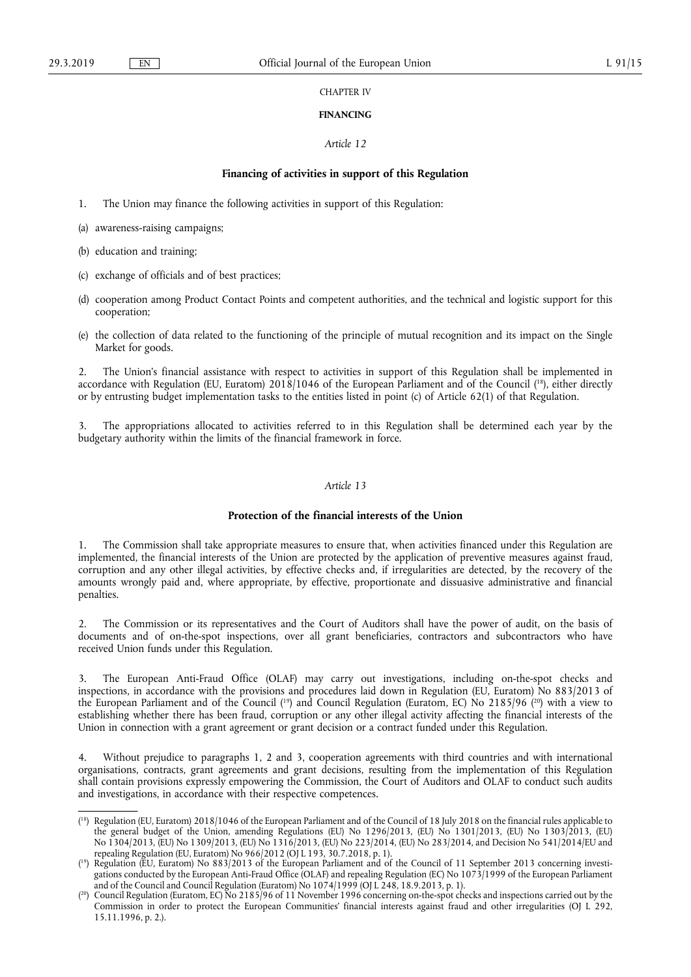# CHAPTER IV

# **FINANCING**

# *Article 12*

# **Financing of activities in support of this Regulation**

- 1. The Union may finance the following activities in support of this Regulation:
- (a) awareness-raising campaigns;
- (b) education and training;
- (c) exchange of officials and of best practices;
- (d) cooperation among Product Contact Points and competent authorities, and the technical and logistic support for this cooperation;
- (e) the collection of data related to the functioning of the principle of mutual recognition and its impact on the Single Market for goods.

2. The Union's financial assistance with respect to activities in support of this Regulation shall be implemented in accordance with Regulation (EU, Euratom) 2018/1046 of the European Parliament and of the Council ( 18), either directly or by entrusting budget implementation tasks to the entities listed in point (c) of Article 62(1) of that Regulation.

The appropriations allocated to activities referred to in this Regulation shall be determined each year by the budgetary authority within the limits of the financial framework in force.

#### *Article 13*

# **Protection of the financial interests of the Union**

1. The Commission shall take appropriate measures to ensure that, when activities financed under this Regulation are implemented, the financial interests of the Union are protected by the application of preventive measures against fraud, corruption and any other illegal activities, by effective checks and, if irregularities are detected, by the recovery of the amounts wrongly paid and, where appropriate, by effective, proportionate and dissuasive administrative and financial penalties.

2. The Commission or its representatives and the Court of Auditors shall have the power of audit, on the basis of documents and of on-the-spot inspections, over all grant beneficiaries, contractors and subcontractors who have received Union funds under this Regulation.

3. The European Anti-Fraud Office (OLAF) may carry out investigations, including on-the-spot checks and inspections, in accordance with the provisions and procedures laid down in Regulation (EU, Euratom) No 883/2013 of the European Parliament and of the Council (<sup>19</sup>) and Council Regulation (Euratom, EC) No 2185/96 (<sup>20</sup>) with a view to establishing whether there has been fraud, corruption or any other illegal activity affecting the financial interests of the Union in connection with a grant agreement or grant decision or a contract funded under this Regulation.

4. Without prejudice to paragraphs 1, 2 and 3, cooperation agreements with third countries and with international organisations, contracts, grant agreements and grant decisions, resulting from the implementation of this Regulation shall contain provisions expressly empowering the Commission, the Court of Auditors and OLAF to conduct such audits and investigations, in accordance with their respective competences.

<sup>(</sup> 18) Regulation (EU, Euratom) 2018/1046 of the European Parliament and of the Council of 18 July 2018 on the financial rules applicable to the general budget of the Union, amending Regulations (EU) No 1296/2013, (EU) No 1301/2013, (EU) No 1303/2013, (EU) No 1304/2013, (EU) No 1309/2013, (EU) No 1316/2013, (EU) No 223/2014, (EU) No 283/2014, and Decision No 541/2014/EU and repealing Regulation (EU, Euratom) No 966/2012 (OJ L 193, 30.7.2018, p. 1).

<sup>(</sup> 19) Regulation (EU, Euratom) No 883/2013 of the European Parliament and of the Council of 11 September 2013 concerning investigations conducted by the European Anti-Fraud Office (OLAF) and repealing Regulation (EC) No 1073/1999 of the European Parliament and of the Council and Council Regulation (Euratom) No 1074/1999 (OJ L 248, 18.9.2013, p. 1).

<sup>(</sup>  $^{20)}$  Council Regulation (Euratom, EC) No 2185/96 of 11 November 1996 concerning on-the-spot checks and inspections carried out by the Commission in order to protect the European Communities' financial interests against fraud and other irregularities (OJ L 292, 15.11.1996, p. 2.).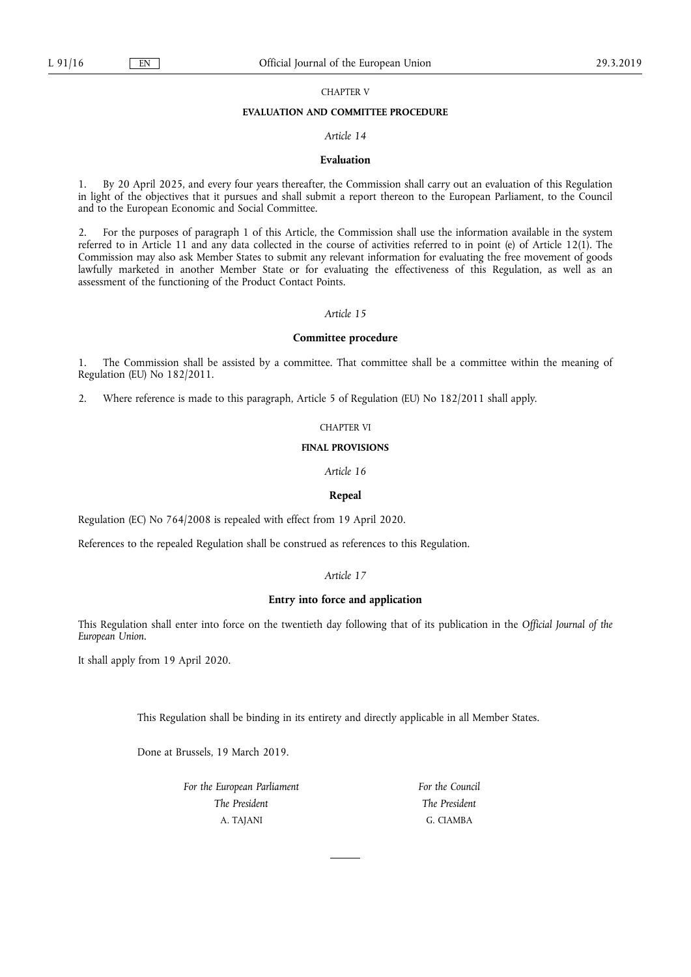# CHAPTER V

# **EVALUATION AND COMMITTEE PROCEDURE**

# *Article 14*

# **Evaluation**

1. By 20 April 2025, and every four years thereafter, the Commission shall carry out an evaluation of this Regulation in light of the objectives that it pursues and shall submit a report thereon to the European Parliament, to the Council and to the European Economic and Social Committee.

2. For the purposes of paragraph 1 of this Article, the Commission shall use the information available in the system referred to in Article 11 and any data collected in the course of activities referred to in point (e) of Article 12(1). The Commission may also ask Member States to submit any relevant information for evaluating the free movement of goods lawfully marketed in another Member State or for evaluating the effectiveness of this Regulation, as well as an assessment of the functioning of the Product Contact Points.

# *Article 15*

#### **Committee procedure**

1. The Commission shall be assisted by a committee. That committee shall be a committee within the meaning of Regulation (EU) No 182/2011.

2. Where reference is made to this paragraph, Article 5 of Regulation (EU) No 182/2011 shall apply.

# CHAPTER VI

#### **FINAL PROVISIONS**

*Article 16* 

#### **Repeal**

Regulation (EC) No 764/2008 is repealed with effect from 19 April 2020.

References to the repealed Regulation shall be construed as references to this Regulation.

#### *Article 17*

# **Entry into force and application**

This Regulation shall enter into force on the twentieth day following that of its publication in the *Official Journal of the European Union*.

It shall apply from 19 April 2020.

This Regulation shall be binding in its entirety and directly applicable in all Member States.

Done at Brussels, 19 March 2019.

*For the European Parliament The President*  A. TAJANI

*For the Council The President*  G. CIAMBA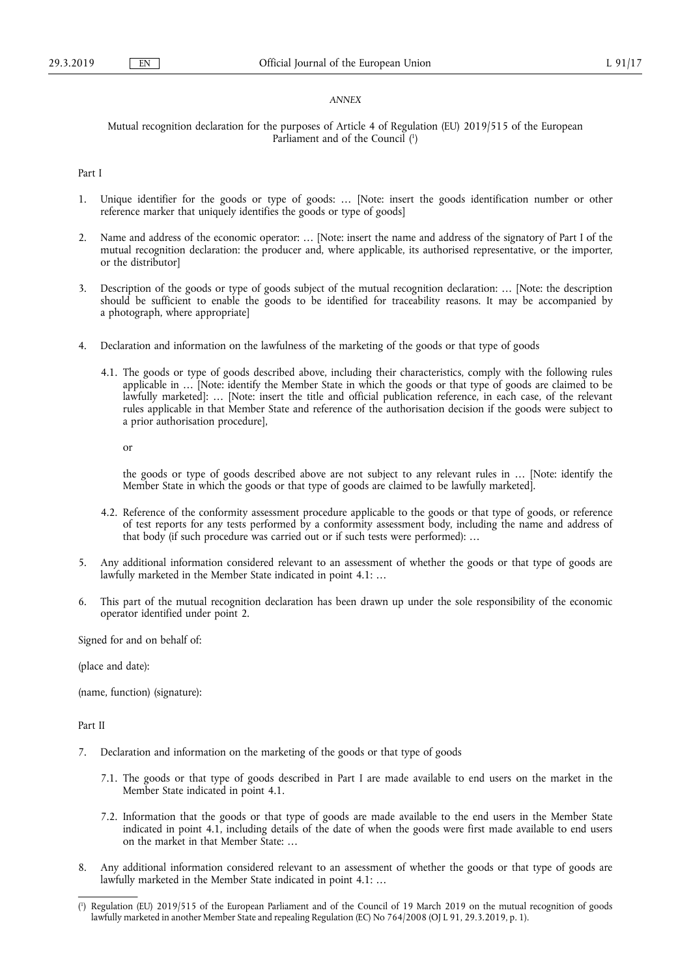#### *ANNEX*

# Mutual recognition declaration for the purposes of Article 4 of Regulation (EU) 2019/515 of the European Parliament and of the Council (<sup>1</sup>)

# Part I

- 1. Unique identifier for the goods or type of goods: … [Note: insert the goods identification number or other reference marker that uniquely identifies the goods or type of goods]
- 2. Name and address of the economic operator: … [Note: insert the name and address of the signatory of Part I of the mutual recognition declaration: the producer and, where applicable, its authorised representative, or the importer, or the distributor]
- 3. Description of the goods or type of goods subject of the mutual recognition declaration: … [Note: the description should be sufficient to enable the goods to be identified for traceability reasons. It may be accompanied by a photograph, where appropriate]
- 4. Declaration and information on the lawfulness of the marketing of the goods or that type of goods
	- 4.1. The goods or type of goods described above, including their characteristics, comply with the following rules applicable in … [Note: identify the Member State in which the goods or that type of goods are claimed to be lawfully marketed]: … [Note: insert the title and official publication reference, in each case, of the relevant rules applicable in that Member State and reference of the authorisation decision if the goods were subject to a prior authorisation procedure],

or

the goods or type of goods described above are not subject to any relevant rules in … [Note: identify the Member State in which the goods or that type of goods are claimed to be lawfully marketed].

- 4.2. Reference of the conformity assessment procedure applicable to the goods or that type of goods, or reference of test reports for any tests performed by a conformity assessment body, including the name and address of that body (if such procedure was carried out or if such tests were performed): …
- 5. Any additional information considered relevant to an assessment of whether the goods or that type of goods are lawfully marketed in the Member State indicated in point 4.1: …
- 6. This part of the mutual recognition declaration has been drawn up under the sole responsibility of the economic operator identified under point 2.

Signed for and on behalf of:

(place and date):

(name, function) (signature):

Part II

- 7. Declaration and information on the marketing of the goods or that type of goods
	- 7.1. The goods or that type of goods described in Part I are made available to end users on the market in the Member State indicated in point 4.1.
	- 7.2. Information that the goods or that type of goods are made available to the end users in the Member State indicated in point 4.1, including details of the date of when the goods were first made available to end users on the market in that Member State: …
- 8. Any additional information considered relevant to an assessment of whether the goods or that type of goods are lawfully marketed in the Member State indicated in point 4.1: …

<sup>(</sup> 1 ) Regulation (EU) 2019/515 of the European Parliament and of the Council of 19 March 2019 on the mutual recognition of goods lawfully marketed in another Member State and repealing Regulation (EC) No 764/2008 (OJ L 91, 29.3.2019, p. 1).